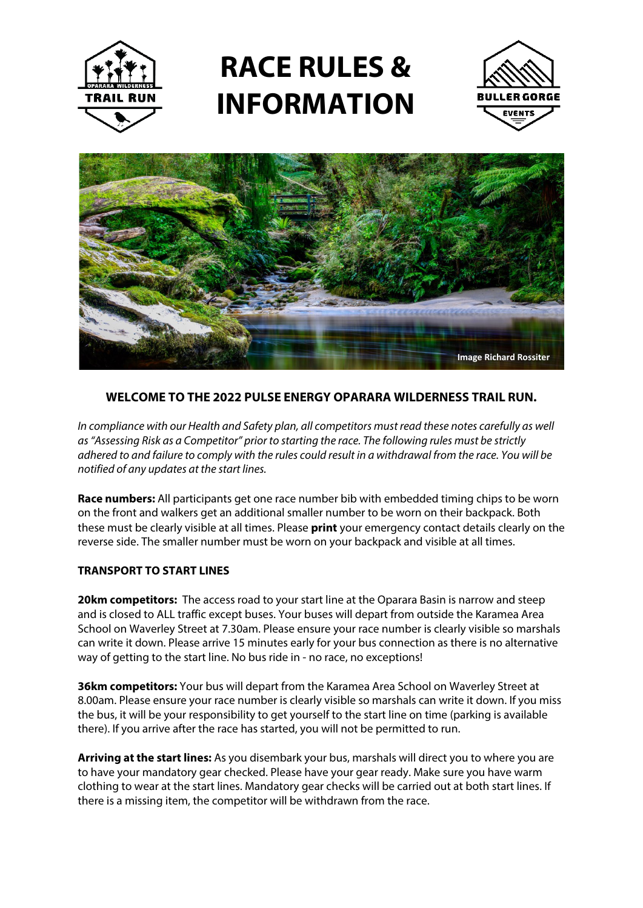

## **RACE RULES & INFORMATION**





## **WELCOME TO THE 2022 PULSE ENERGY OPARARA WILDERNESS TRAIL RUN.**

*In compliance with our Health and Safety plan, all competitors must read these notes carefully as well as"Assessing Risk as a Competitor" prior to starting the race. The following rules must be strictly adhered to and failure to comply with the rules could result in a withdrawal from the race. You will be notified of any updates at the start lines.*

**Race numbers:** All participants get one race number bib with embedded timing chips to be worn on the front and walkers get an additional smaller number to be worn on their backpack. Both these must be clearly visible at all times. Please **print** your emergency contact details clearly on the reverse side. The smaller number must be worn on your backpack and visible at all times.

## **TRANSPORT TO START LINES**

**20km competitors:** The access road to your start line at the Oparara Basin is narrow and steep and is closed to ALL traffic except buses. Your buses will depart from outside the Karamea Area School on Waverley Street at 7.30am. Please ensure your race number is clearly visible so marshals can write it down. Please arrive 15 minutes early for your bus connection as there is no alternative way of getting to the start line. No bus ride in - no race, no exceptions!

**36km competitors:** Your bus will depart from the Karamea Area School on Waverley Street at 8.00am. Please ensure your race number is clearly visible so marshals can write it down. If you miss the bus, it will be your responsibility to get yourself to the start line on time (parking is available there). If you arrive after the race has started, you will not be permitted to run.

**Arriving at the start lines:** As you disembark your bus, marshals will direct you to where you are to have your mandatory gear checked. Please have your gear ready. Make sure you have warm clothing to wear at the start lines. Mandatory gear checks will be carried out at both start lines. If there is a missing item, the competitor will be withdrawn from the race.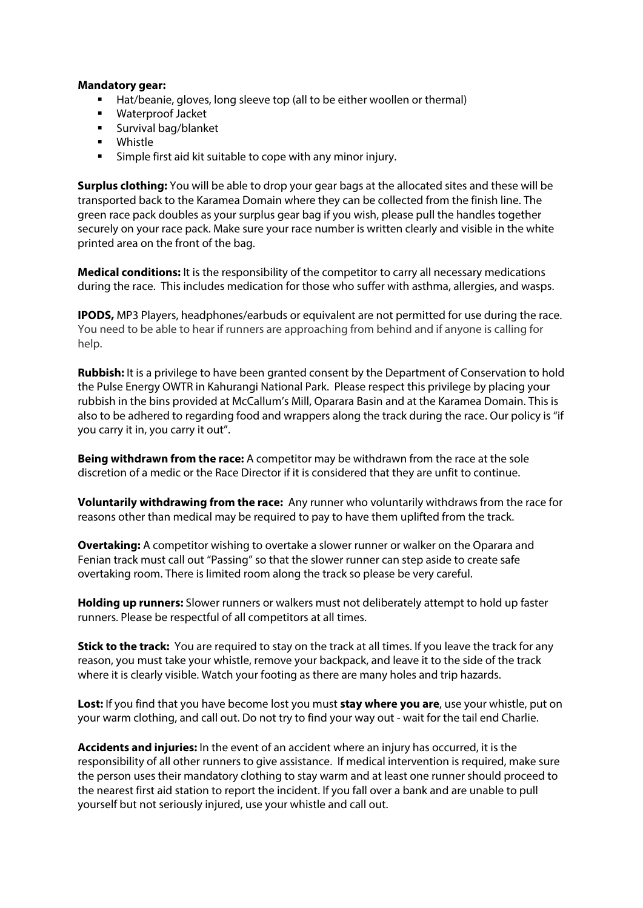## **Mandatory gear:**

- Hat/beanie, gloves, long sleeve top (all to be either woollen or thermal)
- Waterproof Jacket
- **Survival bag/blanket**
- **•** Whistle
- Simple first aid kit suitable to cope with any minor injury.

**Surplus clothing:** You will be able to drop your gear bags at the allocated sites and these will be transported back to the Karamea Domain where they can be collected from the finish line. The green race pack doubles as your surplus gear bag if you wish, please pull the handles together securely on your race pack. Make sure your race number is written clearly and visible in the white printed area on the front of the bag.

**Medical conditions:** It is the responsibility of the competitor to carry all necessary medications during the race. This includes medication for those who suffer with asthma, allergies, and wasps.

**IPODS,** MP3 Players, headphones/earbuds or equivalent are not permitted for use during the race. You need to be able to hear if runners are approaching from behind and if anyone is calling for help.

**Rubbish:** It is a privilege to have been granted consent by the Department of Conservation to hold the Pulse Energy OWTR in Kahurangi National Park. Please respect this privilege by placing your rubbish in the bins provided at McCallum's Mill, Oparara Basin and at the Karamea Domain. This is also to be adhered to regarding food and wrappers along the track during the race. Our policy is "if you carry it in, you carry it out".

**Being withdrawn from the race:** A competitor may be withdrawn from the race at the sole discretion of a medic or the Race Director if it is considered that they are unfit to continue.

**Voluntarily withdrawing from the race:** Any runner who voluntarily withdraws from the race for reasons other than medical may be required to pay to have them uplifted from the track.

**Overtaking:** A competitor wishing to overtake a slower runner or walker on the Oparara and Fenian track must call out "Passing" so that the slower runner can step aside to create safe overtaking room. There is limited room along the track so please be very careful.

**Holding up runners:** Slower runners or walkers must not deliberately attempt to hold up faster runners. Please be respectful of all competitors at all times.

**Stick to the track:** You are required to stay on the track at all times. If you leave the track for any reason, you must take your whistle, remove your backpack, and leave it to the side of the track where it is clearly visible. Watch your footing as there are many holes and trip hazards.

**Lost:** If you find that you have become lost you must **stay where you are**, use your whistle, put on your warm clothing, and call out. Do not try to find your way out - wait for the tail end Charlie.

**Accidents and injuries:** In the event of an accident where an injury has occurred, it is the responsibility of all other runners to give assistance. If medical intervention is required, make sure the person uses their mandatory clothing to stay warm and at least one runner should proceed to the nearest first aid station to report the incident. If you fall over a bank and are unable to pull yourself but not seriously injured, use your whistle and call out.